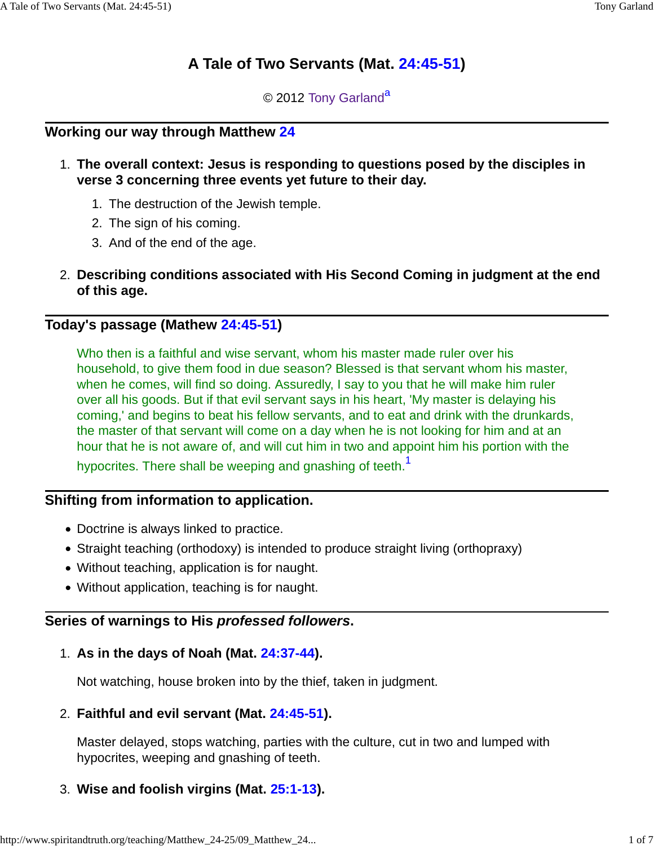# **A Tale of Two Servants (Mat. 24:45-51)**

© 2012 Tony Garland<sup>a</sup>

### **Working our way through Matthew 24**

- **The overall context: Jesus is responding to questions posed by the disciples in** 1. **verse 3 concerning three events yet future to their day.**
	- 1. The destruction of the Jewish temple.
	- 2. The sign of his coming.
	- 3. And of the end of the age.
- **Describing conditions associated with His Second Coming in judgment at the end** 2. **of this age.**

### **Today's passage (Mathew 24:45-51)**

Who then is a faithful and wise servant, whom his master made ruler over his household, to give them food in due season? Blessed is that servant whom his master, when he comes, will find so doing. Assuredly, I say to you that he will make him ruler over all his goods. But if that evil servant says in his heart, 'My master is delaying his coming,' and begins to beat his fellow servants, and to eat and drink with the drunkards, the master of that servant will come on a day when he is not looking for him and at an hour that he is not aware of, and will cut him in two and appoint him his portion with the hypocrites. There shall be weeping and gnashing of teeth.<sup>1</sup>

### **Shifting from information to application.**

- Doctrine is always linked to practice.
- Straight teaching (orthodoxy) is intended to produce straight living (orthopraxy)
- Without teaching, application is for naught.
- Without application, teaching is for naught.

### **Series of warnings to His professed followers.**

### **As in the days of Noah (Mat. 24:37-44).** 1.

Not watching, house broken into by the thief, taken in judgment.

### **Faithful and evil servant (Mat. 24:45-51).** 2.

Master delayed, stops watching, parties with the culture, cut in two and lumped with hypocrites, weeping and gnashing of teeth.

## 3. **Wise and foolish virgins (Mat. 25:1-13).**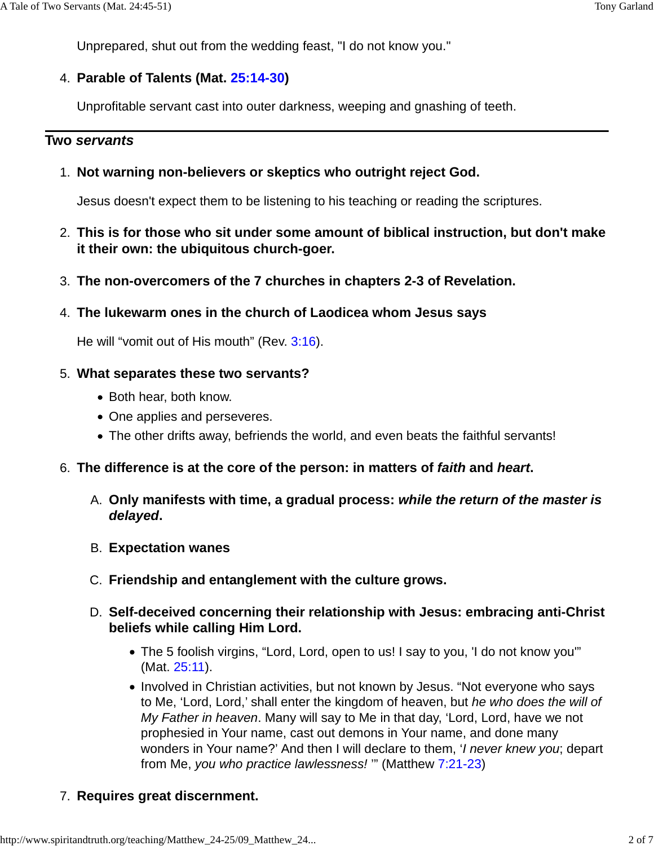Unprepared, shut out from the wedding feast, "I do not know you."

# **Parable of Talents (Mat. 25:14-30)** 4.

Unprofitable servant cast into outer darkness, weeping and gnashing of teeth.

# **Two servants**

**Not warning non-believers or skeptics who outright reject God.** 1.

Jesus doesn't expect them to be listening to his teaching or reading the scriptures.

- **This is for those who sit under some amount of biblical instruction, but don't make** 2. **it their own: the ubiquitous church-goer.**
- 3. **The non-overcomers of the 7 churches in chapters 2-3 of Revelation.**
- **The lukewarm ones in the church of Laodicea whom Jesus says** 4.

He will "vomit out of His mouth" (Rev. 3:16).

# **What separates these two servants?** 5.

- Both hear, both know.
- One applies and perseveres.
- The other drifts away, befriends the world, and even beats the faithful servants!
- 6. **The difference is at the core of the person: in matters of faith and heart.**
	- **Only manifests with time, a gradual process: while the return of the master is** A. **delayed.**
	- B. **Expectation wanes**
	- C. **Friendship and entanglement with the culture grows.**
	- **Self-deceived concerning their relationship with Jesus: embracing anti-Christ** D. **beliefs while calling Him Lord.**
		- The 5 foolish virgins, "Lord, Lord, open to us! I say to you, 'I do not know you'" (Mat. 25:11).
		- Involved in Christian activities, but not known by Jesus. "Not everyone who says to Me, 'Lord, Lord,' shall enter the kingdom of heaven, but he who does the will of My Father in heaven. Many will say to Me in that day, 'Lord, Lord, have we not prophesied in Your name, cast out demons in Your name, and done many wonders in Your name?' And then I will declare to them, '*I never knew you*; depart from Me, you who practice lawlessness! '" (Matthew 7:21-23)

# 7. **Requires great discernment.**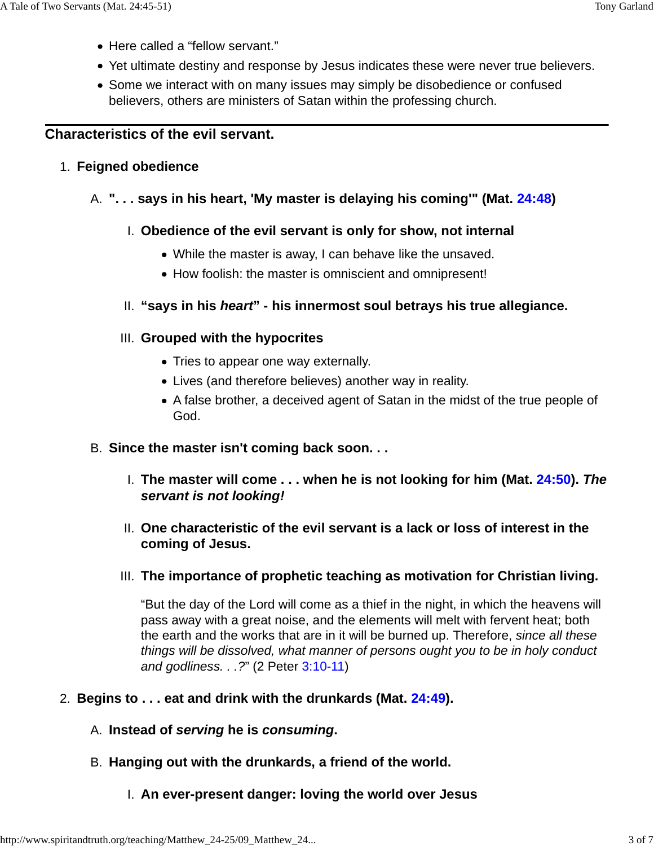- Here called a "fellow servant."
- Yet ultimate destiny and response by Jesus indicates these were never true believers.
- Some we interact with on many issues may simply be disobedience or confused believers, others are ministers of Satan within the professing church.

### **Characteristics of the evil servant.**

### 1. **Feigned obedience**

### A. **". . . says in his heart, 'My master is delaying his coming'" (Mat. 24:48)**

### **Obedience of the evil servant is only for show, not internal** I.

- While the master is away, I can behave like the unsaved.
- How foolish: the master is omniscient and omnipresent!

### II. **"says in his heart" - his innermost soul betrays his true allegiance.**

### **Grouped with the hypocrites** III.

- Tries to appear one way externally.
- Lives (and therefore believes) another way in reality.
- A false brother, a deceived agent of Satan in the midst of the true people of God.
- B. **Since the master isn't coming back soon. . .**
	- **The master will come . . . when he is not looking for him (Mat. 24:50). The** I. **servant is not looking!**
	- **One characteristic of the evil servant is a lack or loss of interest in the** II. **coming of Jesus.**
	- **The importance of prophetic teaching as motivation for Christian living.** III.

"But the day of the Lord will come as a thief in the night, in which the heavens will pass away with a great noise, and the elements will melt with fervent heat; both the earth and the works that are in it will be burned up. Therefore, since all these things will be dissolved, what manner of persons ought you to be in holy conduct and godliness. . .?" (2 Peter 3:10-11)

- 2. **Begins to . . . eat and drink with the drunkards (Mat. 24:49).**
	- A. **Instead of serving he is consuming.**
	- B. **Hanging out with the drunkards, a friend of the world.**
		- I. **An ever-present danger: loving the world over Jesus**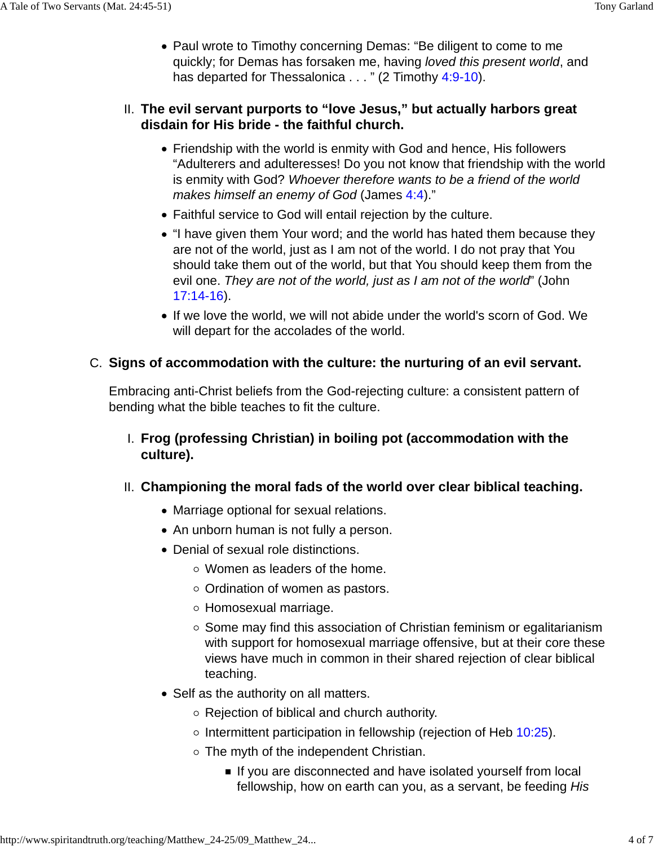Paul wrote to Timothy concerning Demas: "Be diligent to come to me quickly; for Demas has forsaken me, having loved this present world, and has departed for Thessalonica . . . " (2 Timothy 4:9-10).

### **The evil servant purports to "love Jesus," but actually harbors great** II. **disdain for His bride - the faithful church.**

- Friendship with the world is enmity with God and hence, His followers "Adulterers and adulteresses! Do you not know that friendship with the world is enmity with God? Whoever therefore wants to be a friend of the world makes himself an enemy of God (James 4:4)."
- Faithful service to God will entail rejection by the culture.
- "I have given them Your word; and the world has hated them because they are not of the world, just as I am not of the world. I do not pray that You should take them out of the world, but that You should keep them from the evil one. They are not of the world, just as I am not of the world" (John 17:14-16).
- If we love the world, we will not abide under the world's scorn of God. We will depart for the accolades of the world.

### **Signs of accommodation with the culture: the nurturing of an evil servant.** C.

Embracing anti-Christ beliefs from the God-rejecting culture: a consistent pattern of bending what the bible teaches to fit the culture.

- **Frog (professing Christian) in boiling pot (accommodation with the** I. **culture).**
- **Championing the moral fads of the world over clear biblical teaching.** II.
	- Marriage optional for sexual relations.
	- An unborn human is not fully a person.
	- Denial of sexual role distinctions.
		- Women as leaders of the home.
		- $\circ$  Ordination of women as pastors.
		- Homosexual marriage.
		- $\circ$  Some may find this association of Christian feminism or egalitarianism with support for homosexual marriage offensive, but at their core these views have much in common in their shared rejection of clear biblical teaching.
	- Self as the authority on all matters.
		- $\circ$  Rejection of biblical and church authority.
		- $\circ$  Intermittent participation in fellowship (rejection of Heb 10:25).
		- $\circ$  The myth of the independent Christian.
			- If you are disconnected and have isolated yourself from local fellowship, how on earth can you, as a servant, be feeding His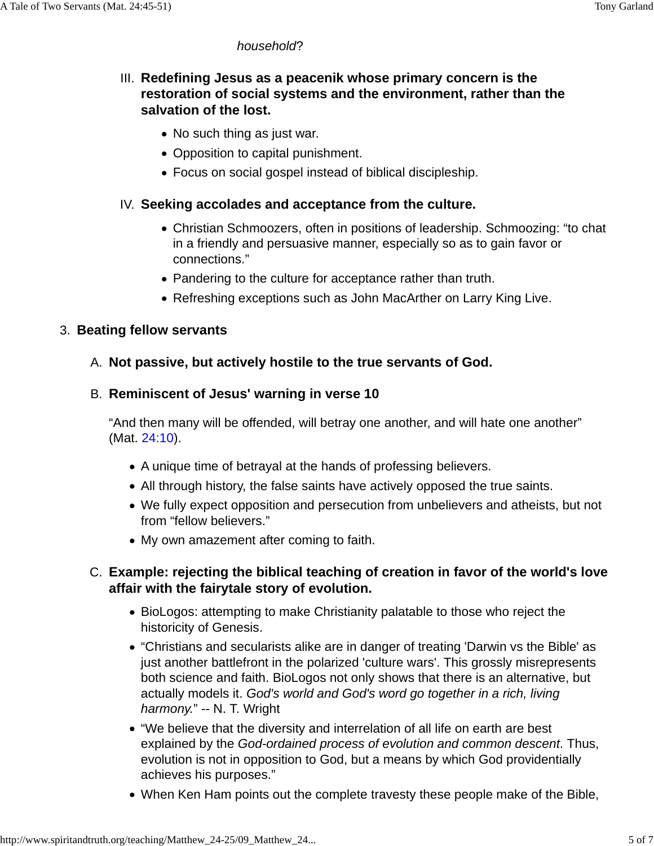#### household?

### III. Redefining Jesus as a peacenik whose primary concern is the **restoration of social systems and the environment, rather than the salvation of the lost.**

- No such thing as just war.
- Opposition to capital punishment.
- Focus on social gospel instead of biblical discipleship.

#### **Seeking accolades and acceptance from the culture.** IV.

- Christian Schmoozers, often in positions of leadership. Schmoozing: "to chat in a friendly and persuasive manner, especially so as to gain favor or connections."
- Pandering to the culture for acceptance rather than truth.
- Refreshing exceptions such as John MacArther on Larry King Live.

#### 3. **Beating fellow servants**

#### A. **Not passive, but actively hostile to the true servants of God.**

#### **Reminiscent of Jesus' warning in verse 10** B.

"And then many will be offended, will betray one another, and will hate one another" (Mat. 24:10).

- A unique time of betrayal at the hands of professing believers.
- All through history, the false saints have actively opposed the true saints.
- We fully expect opposition and persecution from unbelievers and atheists, but not from "fellow believers."
- My own amazement after coming to faith.

### **Example: rejecting the biblical teaching of creation in favor of the world's love** C. **affair with the fairytale story of evolution.**

- BioLogos: attempting to make Christianity palatable to those who reject the historicity of Genesis.
- "Christians and secularists alike are in danger of treating 'Darwin vs the Bible' as just another battlefront in the polarized 'culture wars'. This grossly misrepresents both science and faith. BioLogos not only shows that there is an alternative, but actually models it. God's world and God's word go together in a rich, living harmony." -- N. T. Wright
- "We believe that the diversity and interrelation of all life on earth are best explained by the God-ordained process of evolution and common descent. Thus, evolution is not in opposition to God, but a means by which God providentially achieves his purposes."
- When Ken Ham points out the complete travesty these people make of the Bible,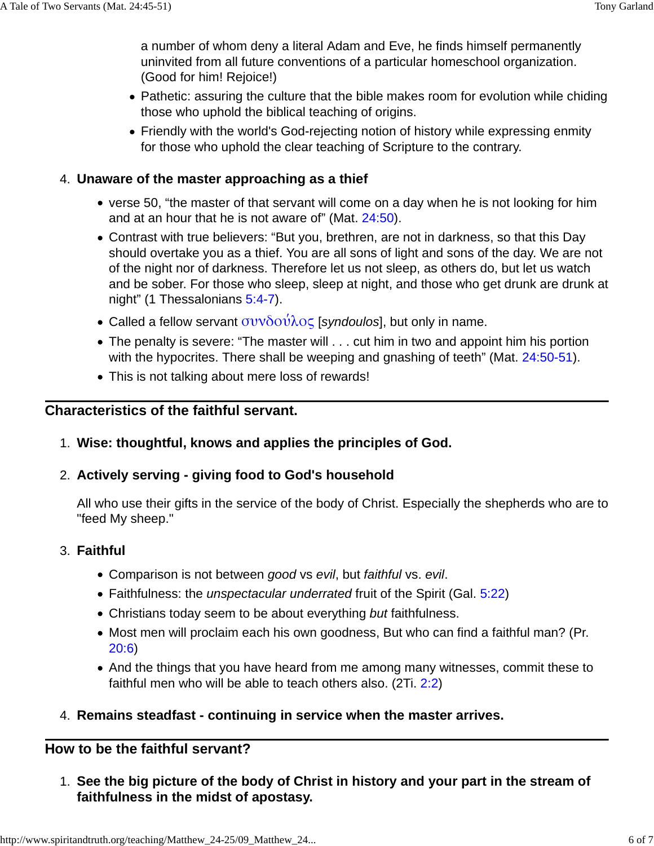a number of whom deny a literal Adam and Eve, he finds himself permanently uninvited from all future conventions of a particular homeschool organization. (Good for him! Rejoice!)

- Pathetic: assuring the culture that the bible makes room for evolution while chiding those who uphold the biblical teaching of origins.
- Friendly with the world's God-rejecting notion of history while expressing enmity for those who uphold the clear teaching of Scripture to the contrary.

#### **Unaware of the master approaching as a thief** 4.

- verse 50, "the master of that servant will come on a day when he is not looking for him and at an hour that he is not aware of" (Mat. 24:50).
- Contrast with true believers: "But you, brethren, are not in darkness, so that this Day should overtake you as a thief. You are all sons of light and sons of the day. We are not of the night nor of darkness. Therefore let us not sleep, as others do, but let us watch and be sober. For those who sleep, sleep at night, and those who get drunk are drunk at night" (1 Thessalonians 5:4-7).
- Called a fellow servant  $\sigma \nu \nu \delta \sigma \nu \lambda \sigma \zeta$  [syndoulos], but only in name.
- The penalty is severe: "The master will . . . cut him in two and appoint him his portion with the hypocrites. There shall be weeping and gnashing of teeth" (Mat. 24:50-51).
- This is not talking about mere loss of rewards!

### **Characteristics of the faithful servant.**

1. **Wise: thoughtful, knows and applies the principles of God.**

### **Actively serving - giving food to God's household** 2.

All who use their gifts in the service of the body of Christ. Especially the shepherds who are to "feed My sheep."

#### **Faithful** 3.

- Comparison is not between good vs evil, but faithful vs. evil.
- Faithfulness: the *unspectacular underrated* fruit of the Spirit (Gal. 5:22)
- Christians today seem to be about everything but faithfulness.
- Most men will proclaim each his own goodness, But who can find a faithful man? (Pr. 20:6)
- And the things that you have heard from me among many witnesses, commit these to faithful men who will be able to teach others also. (2Ti. 2:2)

### 4. **Remains steadfast - continuing in service when the master arrives.**

### **How to be the faithful servant?**

**See the big picture of the body of Christ in history and your part in the stream of** 1. **faithfulness in the midst of apostasy.**